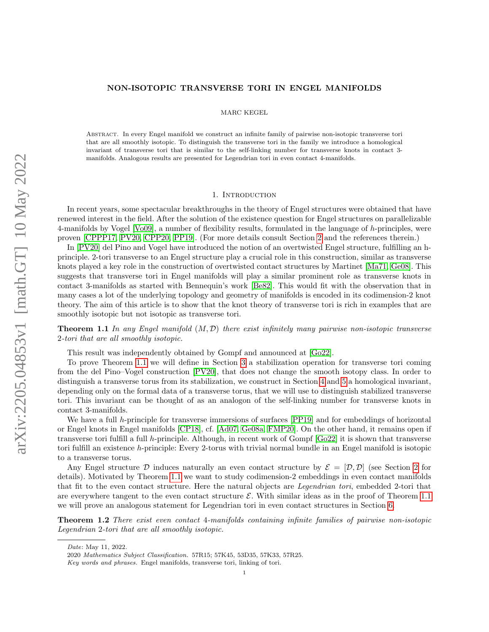# NON-ISOTOPIC TRANSVERSE TORI IN ENGEL MANIFOLDS

MARC KEGEL

Abstract. In every Engel manifold we construct an infinite family of pairwise non-isotopic transverse tori that are all smoothly isotopic. To distinguish the transverse tori in the family we introduce a homological invariant of transverse tori that is similar to the self-linking number for transverse knots in contact 3 manifolds. Analogous results are presented for Legendrian tori in even contact 4-manifolds.

## 1. INTRODUCTION

In recent years, some spectacular breakthroughs in the theory of Engel structures were obtained that have renewed interest in the field. After the solution of the existence question for Engel structures on parallelizable 4-manifolds by Vogel [\[Vo09\]](#page-8-0), a number of flexibility results, formulated in the language of h-principles, were proven [\[CPPP17,](#page-7-0) [PV20,](#page-8-1) [CPP20,](#page-7-1) [PP19\]](#page-8-2). (For more details consult Section [2](#page-1-0) and the references therein.)

In [\[PV20\]](#page-8-1) del Pino and Vogel have introduced the notion of an overtwisted Engel structure, fulfilling an hprinciple. 2-tori transverse to an Engel structure play a crucial role in this construction, similar as transverse knots played a key role in the construction of overtwisted contact structures by Martinet [\[Ma71,](#page-8-3) [Ge08\]](#page-8-4). This suggests that transverse tori in Engel manifolds will play a similar prominent role as transverse knots in contact 3-manifolds as started with Bennequin's work [\[Be82\]](#page-7-2). This would fit with the observation that in many cases a lot of the underlying topology and geometry of manifolds is encoded in its codimension-2 knot theory. The aim of this article is to show that the knot theory of transverse tori is rich in examples that are smoothly isotopic but not isotopic as transverse tori.

<span id="page-0-0"></span>**Theorem 1.1** In any Engel manifold  $(M, \mathcal{D})$  there exist infinitely many pairwise non-isotopic transverse 2-tori that are all smoothly isotopic.

This result was independently obtained by Gompf and announced at [\[Go22\]](#page-8-5).

To prove Theorem [1.1](#page-0-0) we will define in Section [3](#page-3-0) a stabilization operation for transverse tori coming from the del Pino–Vogel construction [\[PV20\]](#page-8-1), that does not change the smooth isotopy class. In order to distinguish a transverse torus from its stabilization, we construct in Section [4](#page-4-0) and [5](#page-5-0) a homological invariant, depending only on the formal data of a transverse torus, that we will use to distinguish stabilized transverse tori. This invariant can be thought of as an analogon of the self-linking number for transverse knots in contact 3-manifolds.

We have a full h-principle for transverse immersions of surfaces [\[PP19\]](#page-8-2) and for embeddings of horizontal or Engel knots in Engel manifolds [\[CP18\]](#page-7-3), cf. [\[Ad07,](#page-7-4) [Ge08a,](#page-8-6) [FMP20\]](#page-7-5). On the other hand, it remains open if transverse tori fulfill a full h-principle. Although, in recent work of Gompf [\[Go22\]](#page-8-5) it is shown that transverse tori fulfill an existence h-principle: Every 2-torus with trivial normal bundle in an Engel manifold is isotopic to a transverse torus.

Any Engel structure D induces naturally an even contact structure by  $\mathcal{E} = [\mathcal{D}, \mathcal{D}]$  (see Section [2](#page-1-0) for details). Motivated by Theorem [1.1](#page-0-0) we want to study codimension-2 embeddings in even contact manifolds that fit to the even contact structure. Here the natural objects are Legendrian tori, embedded 2-tori that are everywhere tangent to the even contact structure  $\mathcal{E}$ . With similar ideas as in the proof of Theorem [1.1](#page-0-0) we will prove an analogous statement for Legendrian tori in even contact structures in Section [6.](#page-7-6)

<span id="page-0-1"></span>Theorem 1.2 There exist even contact 4-manifolds containing infinite families of pairwise non-isotopic Legendrian 2-tori that are all smoothly isotopic.

Date: May 11, 2022.

<sup>2020</sup> Mathematics Subject Classification. 57R15; 57K45, 53D35, 57K33, 57R25.

Key words and phrases. Engel manifolds, transverse tori, linking of tori.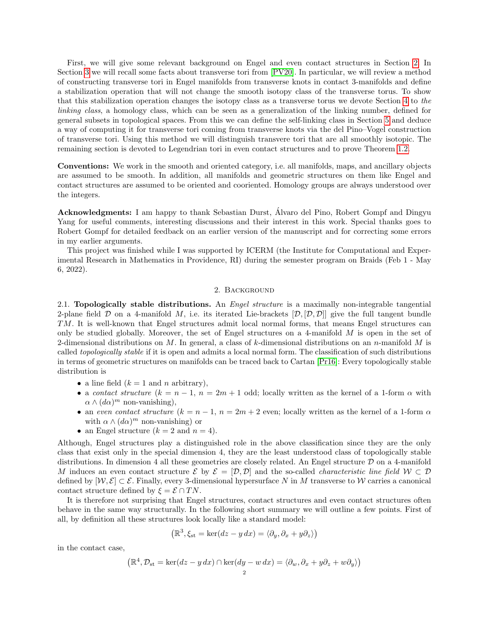First, we will give some relevant background on Engel and even contact structures in Section [2.](#page-1-0) In Section [3](#page-3-0) we will recall some facts about transverse tori from [\[PV20\]](#page-8-1). In particular, we will review a method of constructing transverse tori in Engel manifolds from transverse knots in contact 3-manifolds and define a stabilization operation that will not change the smooth isotopy class of the transverse torus. To show that this stabilization operation changes the isotopy class as a transverse torus we devote Section [4](#page-4-0) to the linking class, a homology class, which can be seen as a generalization of the linking number, defined for general subsets in topological spaces. From this we can define the self-linking class in Section [5](#page-5-0) and deduce a way of computing it for transverse tori coming from transverse knots via the del Pino–Vogel construction of transverse tori. Using this method we will distinguish transvere tori that are all smoothly isotopic. The remaining section is devoted to Legendrian tori in even contact structures and to prove Theorem [1.2.](#page-0-1)

Conventions: We work in the smooth and oriented category, i.e. all manifolds, maps, and ancillary objects are assumed to be smooth. In addition, all manifolds and geometric structures on them like Engel and contact structures are assumed to be oriented and cooriented. Homology groups are always understood over the integers.

Acknowledgments: I am happy to thank Sebastian Durst, Alvaro del Pino, Robert Gompf and Dingyu ´ Yang for useful comments, interesting discussions and their interest in this work. Special thanks goes to Robert Gompf for detailed feedback on an earlier version of the manuscript and for correcting some errors in my earlier arguments.

This project was finished while I was supported by ICERM (the Institute for Computational and Experimental Research in Mathematics in Providence, RI) during the semester program on Braids (Feb 1 - May 6, 2022).

### 2. Background

<span id="page-1-0"></span>2.1. **Topologically stable distributions.** An *Engel structure* is a maximally non-integrable tangential 2-plane field  $D$  on a 4-manifold M, i.e. its iterated Lie-brackets  $[D, [D, D]]$  give the full tangent bundle TM. It is well-known that Engel structures admit local normal forms, that means Engel structures can only be studied globally. Moreover, the set of Engel structures on a 4-manifold  $M$  is open in the set of 2-dimensional distributions on M. In general, a class of k-dimensional distributions on an n-manifold M is called topologically stable if it is open and admits a local normal form. The classification of such distributions in terms of geometric structures on manifolds can be traced back to Cartan [\[Pr16\]](#page-8-7): Every topologically stable distribution is

- a line field  $(k = 1$  and n arbitrary),
- a contact structure  $(k = n 1, n = 2m + 1$  odd; locally written as the kernel of a 1-form  $\alpha$  with  $\alpha \wedge (d\alpha)^m$  non-vanishing),
- an even contact structure  $(k = n 1, n = 2m + 2$  even; locally written as the kernel of a 1-form  $\alpha$ with  $\alpha \wedge (d\alpha)^m$  non-vanishing) or
- an Engel structure  $(k = 2 \text{ and } n = 4)$ .

Although, Engel structures play a distinguished role in the above classification since they are the only class that exist only in the special dimension 4, they are the least understood class of topologically stable distributions. In dimension 4 all these geometries are closely related. An Engel structure D on a 4-manifold M induces an even contact structure E by  $\mathcal{E} = [\mathcal{D}, \mathcal{D}]$  and the so-called *characteristic line field*  $W \subset \mathcal{D}$ defined by  $[W, \mathcal{E}] \subset \mathcal{E}$ . Finally, every 3-dimensional hypersurface N in M transverse to W carries a canonical contact structure defined by  $\xi = \mathcal{E} \cap TN$ .

It is therefore not surprising that Engel structures, contact structures and even contact structures often behave in the same way structurally. In the following short summary we will outline a few points. First of all, by definition all these structures look locally like a standard model:

$$
(\mathbb{R}^3, \xi_{st} = \ker(dz - y dx) = \langle \partial_y, \partial_x + y \partial_z \rangle)
$$

in the contact case,

$$
(\mathbb{R}^4, \mathcal{D}_{st} = \ker(dz - y dx) \cap \ker(dy - w dx) = \langle \partial_w, \partial_x + y \partial_z + w \partial_y \rangle)
$$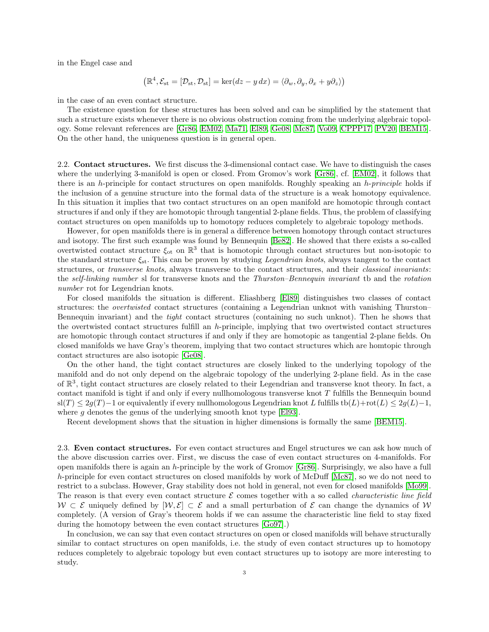in the Engel case and

$$
\left(\mathbb{R}^4, \mathcal{E}_{st} = [\mathcal{D}_{st}, \mathcal{D}_{st}] = \ker(dz - y\,dx) = \langle \partial_w, \partial_y, \partial_x + y\partial_z \rangle\right)
$$

in the case of an even contact structure.

The existence question for these structures has been solved and can be simplified by the statement that such a structure exists whenever there is no obvious obstruction coming from the underlying algebraic topology. Some relevant references are [\[Gr86,](#page-8-8) [EM02,](#page-7-7) [Ma71,](#page-8-3) [El89,](#page-7-8) [Ge08,](#page-8-4) [Mc87,](#page-8-9) [Vo09,](#page-8-0) [CPPP17,](#page-7-0) [PV20,](#page-8-1) [BEM15\]](#page-7-9). On the other hand, the uniqueness question is in general open.

2.2. Contact structures. We first discuss the 3-dimensional contact case. We have to distinguish the cases where the underlying 3-manifold is open or closed. From Gromov's work [\[Gr86\]](#page-8-8), cf. [\[EM02\]](#page-7-7), it follows that there is an h-principle for contact structures on open manifolds. Roughly speaking an h-principle holds if the inclusion of a genuine structure into the formal data of the structure is a weak homotopy equivalence. In this situation it implies that two contact structures on an open manifold are homotopic through contact structures if and only if they are homotopic through tangential 2-plane fields. Thus, the problem of classifying contact structures on open manifolds up to homotopy reduces completely to algebraic topology methods.

However, for open manifolds there is in general a difference between homotopy through contact structures and isotopy. The first such example was found by Bennequin [\[Be82\]](#page-7-2). He showed that there exists a so-called overtwisted contact structure  $\xi_{\text{ot}}$  on  $\mathbb{R}^3$  that is homotopic through contact structures but non-isotopic to the standard structure  $\xi_{st}$ . This can be proven by studying *Legendrian knots*, always tangent to the contact structures, or *transverse knots*, always transverse to the contact structures, and their *classical invariants*: the self-linking number sl for transverse knots and the Thurston–Bennequin invariant tb and the rotation number rot for Legendrian knots.

For closed manifolds the situation is different. Eliashberg [\[El89\]](#page-7-8) distinguishes two classes of contact structures: the *overtwisted* contact structures (containing a Legendrian unknot with vanishing Thurston– Bennequin invariant) and the tight contact structures (containing no such unknot). Then he shows that the overtwisted contact structures fulfill an h-principle, implying that two overtwisted contact structures are homotopic through contact structures if and only if they are homotopic as tangential 2-plane fields. On closed manifolds we have Gray's theorem, implying that two contact structures which are homtopic through contact structures are also isotopic [\[Ge08\]](#page-8-4).

On the other hand, the tight contact structures are closely linked to the underlying topology of the manifold and do not only depend on the algebraic topology of the underlying 2-plane field. As in the case of  $\mathbb{R}^3$ , tight contact structures are closely related to their Legendrian and transverse knot theory. In fact, a contact manifold is tight if and only if every nullhomologous transverse knot T fulfills the Bennequin bound  $\text{sl}(T) \leq 2g(T)-1$  or equivalently if every nullhomologous Legendrian knot L fulfills tb $(L)$ +rot $(L) \leq 2g(L)-1$ , where g denotes the genus of the underlying smooth knot type [\[El93\]](#page-7-10).

Recent development shows that the situation in higher dimensions is formally the same [\[BEM15\]](#page-7-9).

2.3. Even contact structures. For even contact structures and Engel structures we can ask how much of the above discussion carries over. First, we discuss the case of even contact structures on 4-manifolds. For open manifolds there is again an h-principle by the work of Gromov  $|Gr86|$ . Surprisingly, we also have a full h-principle for even contact structures on closed manifolds by work of McDuff [\[Mc87\]](#page-8-9), so we do not need to restrict to a subclass. However, Gray stability does not hold in general, not even for closed manifolds [\[Mo99\]](#page-8-10). The reason is that every even contact structure  $\mathcal E$  comes together with a so called *characteristic line field*  $W \subset \mathcal{E}$  uniquely defined by  $[W, \mathcal{E}] \subset \mathcal{E}$  and a small perturbation of  $\mathcal{E}$  can change the dynamics of W completely. (A version of Gray's theorem holds if we can assume the characteristic line field to stay fixed during the homotopy between the even contact structures [\[Go97\]](#page-8-11).)

In conclusion, we can say that even contact structures on open or closed manifolds will behave structurally similar to contact structures on open manifolds, i.e. the study of even contact structures up to homotopy reduces completely to algebraic topology but even contact structures up to isotopy are more interesting to study.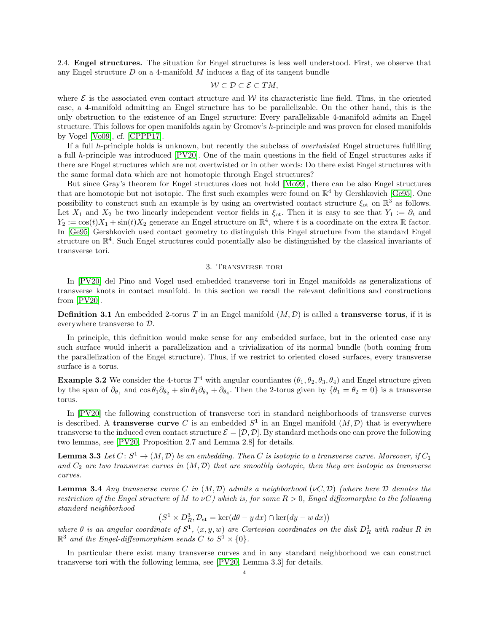2.4. Engel structures. The situation for Engel structures is less well understood. First, we observe that any Engel structure  $D$  on a 4-manifold  $M$  induces a flag of its tangent bundle

$$
W \subset \mathcal{D} \subset \mathcal{E} \subset TM,
$$

where  $\mathcal E$  is the associated even contact structure and W its characteristic line field. Thus, in the oriented case, a 4-manifold admitting an Engel structure has to be parallelizable. On the other hand, this is the only obstruction to the existence of an Engel structure: Every parallelizable 4-manifold admits an Engel structure. This follows for open manifolds again by Gromov's h-principle and was proven for closed manifolds by Vogel [\[Vo09\]](#page-8-0), cf. [\[CPPP17\]](#page-7-0).

If a full h-principle holds is unknown, but recently the subclass of overtwisted Engel structures fulfilling a full h-principle was introduced [\[PV20\]](#page-8-1). One of the main questions in the field of Engel structures asks if there are Engel structures which are not overtwisted or in other words: Do there exist Engel structures with the same formal data which are not homotopic through Engel structures?

But since Gray's theorem for Engel structures does not hold [\[Mo99\]](#page-8-10), there can be also Engel structures that are homotopic but not isotopic. The first such examples were found on  $\mathbb{R}^4$  by Gershkovich [\[Ge95\]](#page-8-12). One possibility to construct such an example is by using an overtwisted contact structure  $\xi_{ot}$  on  $\mathbb{R}^3$  as follows. Let  $X_1$  and  $X_2$  be two linearly independent vector fields in  $\xi_{\text{ot}}$ . Then it is easy to see that  $Y_1 := \partial_t$  and  $Y_2 := \cos(t)X_1 + \sin(t)X_2$  generate an Engel structure on  $\mathbb{R}^4$ , where t is a coordinate on the extra  $\mathbb R$  factor. In [\[Ge95\]](#page-8-12) Gershkovich used contact geometry to distinguish this Engel structure from the standard Engel structure on  $\mathbb{R}^4$ . Such Engel structures could potentially also be distinguished by the classical invariants of transverse tori.

## 3. Transverse tori

<span id="page-3-0"></span>In [\[PV20\]](#page-8-1) del Pino and Vogel used embedded transverse tori in Engel manifolds as generalizations of transverse knots in contact manifold. In this section we recall the relevant definitions and constructions from [\[PV20\]](#page-8-1).

**Definition 3.1** An embedded 2-torus T in an Engel manifold  $(M, \mathcal{D})$  is called a **transverse torus**, if it is everywhere transverse to D.

In principle, this definition would make sense for any embedded surface, but in the oriented case any such surface would inherit a parallelization and a trivialization of its normal bundle (both coming from the parallelization of the Engel structure). Thus, if we restrict to oriented closed surfaces, every transverse surface is a torus.

<span id="page-3-3"></span>**Example 3.2** We consider the 4-torus  $T^4$  with angular coordiantes  $(\theta_1, \theta_2, \theta_3, \theta_4)$  and Engel structure given by the span of  $\partial_{\theta_1}$  and  $\cos \theta_1 \partial_{\theta_2} + \sin \theta_1 \partial_{\theta_3} + \partial_{\theta_4}$ . Then the 2-torus given by  $\{\theta_1 = \theta_2 = 0\}$  is a transverse torus.

In [\[PV20\]](#page-8-1) the following construction of transverse tori in standard neighborhoods of transverse curves is described. A transverse curve C is an embedded  $S^1$  in an Engel manifold  $(M, \mathcal{D})$  that is everywhere transverse to the induced even contact structure  $\mathcal{E} = [\mathcal{D}, \mathcal{D}]$ . By standard methods one can prove the following two lemmas, see [\[PV20,](#page-8-1) Proposition 2.7 and Lemma 2.8] for details.

<span id="page-3-1"></span>**Lemma 3.3** Let  $C \colon S^1 \to (M, \mathcal{D})$  be an embedding. Then C is isotopic to a transverse curve. Moreover, if  $C_1$ and  $C_2$  are two transverse curves in  $(M, \mathcal{D})$  that are smoothly isotopic, then they are isotopic as transverse curves.

<span id="page-3-2"></span>**Lemma 3.4** Any transverse curve C in  $(M, \mathcal{D})$  admits a neighborhood ( $\nu C, \mathcal{D}$ ) (where here  $\mathcal D$  denotes the restriction of the Engel structure of M to  $\nu C$ ) which is, for some  $R > 0$ , Engel diffeomorphic to the following standard neighborhood

$$
(S^1 \times D_R^3, \mathcal{D}_{st} = \ker(d\theta - y dx) \cap \ker(dy - w dx))
$$

where  $\theta$  is an angular coordinate of  $S^1$ ,  $(x, y, w)$  are Cartesian coordinates on the disk  $D_R^3$  with radius R in  $\mathbb{R}^3$  and the Engel-diffeomorphism sends C to  $S^1 \times \{0\}$ .

In particular there exist many transverse curves and in any standard neighborhood we can construct transverse tori with the following lemma, see [\[PV20,](#page-8-1) Lemma 3.3] for details.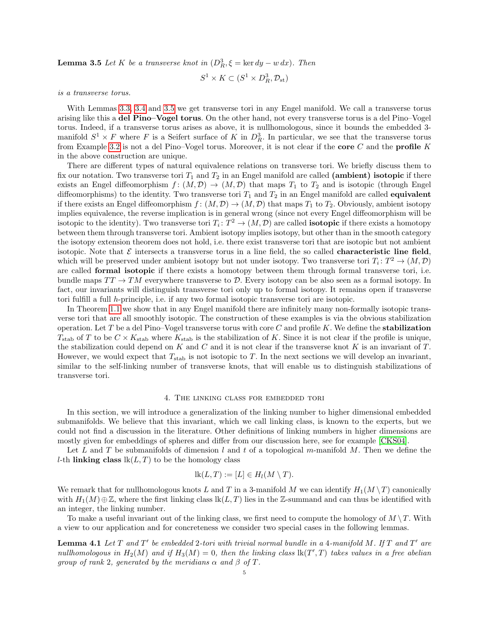<span id="page-4-1"></span>**Lemma 3.5** Let K be a transverse knot in  $(D_R^3, \xi = \ker dy - w dx)$ . Then

$$
S^1 \times K \subset (S^1 \times D_R^3, \mathcal{D}_{st})
$$

is a transverse torus.

With Lemmas [3.3,](#page-3-1) [3.4](#page-3-2) and [3.5](#page-4-1) we get transverse tori in any Engel manifold. We call a transverse torus arising like this a del Pino–Vogel torus. On the other hand, not every transverse torus is a del Pino–Vogel torus. Indeed, if a transverse torus arises as above, it is nullhomologous, since it bounds the embedded 3 manifold  $S^1 \times F$  where F is a Seifert surface of K in  $D_R^3$ . In particular, we see that the transverse torus from Example [3.2](#page-3-3) is not a del Pino–Vogel torus. Moreover, it is not clear if the core  $C$  and the profile  $K$ in the above construction are unique.

There are different types of natural equivalence relations on transverse tori. We briefly discuss them to fix our notation. Two transverse tori  $T_1$  and  $T_2$  in an Engel manifold are called (ambient) isotopic if there exists an Engel diffeomorphism  $f : (M, \mathcal{D}) \to (M, \mathcal{D})$  that maps  $T_1$  to  $T_2$  and is isotopic (through Engel diffeomorphisms) to the identity. Two transverse tori  $T_1$  and  $T_2$  in an Engel manifold are called **equivalent** if there exists an Engel diffeomorphism  $f : (M, \mathcal{D}) \to (M, \mathcal{D})$  that maps  $T_1$  to  $T_2$ . Obviously, ambient isotopy implies equivalence, the reverse implication is in general wrong (since not every Engel diffeomorphism will be isotopic to the identity). Two transverse tori  $T_i: T^2 \to (M, \mathcal{D})$  are called **isotopic** if there exists a homotopy between them through transverse tori. Ambient isotopy implies isotopy, but other than in the smooth category the isotopy extension theorem does not hold, i.e. there exist transverse tori that are isotopic but not ambient isotopic. Note that  $\mathcal E$  intersects a transverse torus in a line field, the so called **characteristic line field**, which will be preserved under ambient isotopy but not under isotopy. Two transverse tori  $T_i: T^2 \to (M, \mathcal{D})$ are called formal isotopic if there exists a homotopy between them through formal transverse tori, i.e. bundle maps  $TT \to TM$  everywhere transverse to  $D$ . Every isotopy can be also seen as a formal isotopy. In fact, our invariants will distinguish transverse tori only up to formal isotopy. It remains open if transverse tori fulfill a full h-principle, i.e. if any two formal isotopic transverse tori are isotopic.

In Theorem [1.1](#page-0-0) we show that in any Engel manifold there are infinitely many non-formally isotopic transverse tori that are all smoothly isotopic. The construction of these examples is via the obvious stabilization operation. Let T be a del Pino–Vogel transverse torus with core C and profile K. We define the **stabilization**  $T_{\text{stab}}$  of T to be  $C \times K_{\text{stab}}$  where  $K_{\text{stab}}$  is the stabilization of K. Since it is not clear if the profile is unique, the stabilization could depend on K and C and it is not clear if the transverse knot K is an invariant of T. However, we would expect that  $T_{stab}$  is not isotopic to T. In the next sections we will develop an invariant, similar to the self-linking number of transverse knots, that will enable us to distinguish stabilizations of transverse tori.

### 4. The linking class for embedded tori

<span id="page-4-0"></span>In this section, we will introduce a generalization of the linking number to higher dimensional embedded submanifolds. We believe that this invariant, which we call linking class, is known to the experts, but we could not find a discussion in the literature. Other definitions of linking numbers in higher dimensions are mostly given for embeddings of spheres and differ from our discussion here, see for example [\[CKS04\]](#page-7-11).

Let L and T be submanifolds of dimension l and t of a topological m-manifold M. Then we define the *l*-th linking class  $lk(L, T)$  to be the homology class

$$
lk(L, T) := [L] \in H_l(M \setminus T).
$$

We remark that for nullhomologous knots L and T in a 3-manifold M we can identify  $H_1(M \setminus T)$  canonically with  $H_1(M) \oplus \mathbb{Z}$ , where the first linking class  $lk(L, T)$  lies in the Z-summand and can thus be identified with an integer, the linking number.

To make a useful invariant out of the linking class, we first need to compute the homology of  $M \setminus T$ . With a view to our application and for concreteness we consider two special cases in the following lemmas.

<span id="page-4-2"></span>**Lemma 4.1** Let  $T$  and  $T'$  be embedded 2-tori with trivial normal bundle in a 4-manifold M. If  $T$  and  $T'$  are nullhomologous in  $H_2(M)$  and if  $H_3(M) = 0$ , then the linking class  $lk(T', T)$  takes values in a free abelian group of rank 2, generated by the meridians  $\alpha$  and  $\beta$  of T.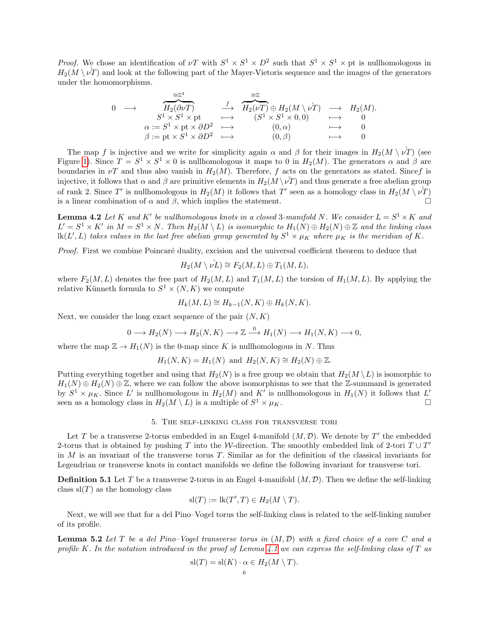*Proof.* We chose an identification of  $\nu T$  with  $S^1 \times S^1 \times D^2$  such that  $S^1 \times S^1 \times D^1$  is nullhomologous in  $H_2(M \setminus \nu)$ <sup>T</sup>) and look at the following part of the Mayer-Vietoris sequence and the images of the generators under the homomorphisms.

$$
\begin{array}{ccccccc} 0 & \longrightarrow & \overbrace{H_2(\partial \nu T)}^{\cong \mathbb{Z}^3} & \xrightarrow{f} & \overbrace{H_2(\nu T)}^{\cong \mathbb{Z}} \oplus H_2(M \setminus \nu^2) & \longrightarrow & H_2(M).\\ & S^1 \times S^1 \times \mathrm{pt} & \longmapsto & (S^1 \times S^1 \times 0,0) & \longmapsto & 0 \\ & \alpha := S^1 \times \mathrm{pt} \times \partial D^2 & \longmapsto & (0,\alpha) & \longmapsto & 0 \\ & \beta := \mathrm{pt} \times S^1 \times \partial D^2 & \longmapsto & (0,\beta) & \longmapsto & 0 \end{array}
$$

The map f is injective and we write for simplicity again  $\alpha$  and  $\beta$  for their images in  $H_2(M \setminus \nu^T)$  (see Figure [1\)](#page-6-0). Since  $T = S^1 \times S^1 \times 0$  is nullhomologous it maps to 0 in  $H_2(M)$ . The generators  $\alpha$  and  $\beta$  are boundaries in  $\nu T$  and thus also vanish in  $H_2(M)$ . Therefore, f acts on the generators as stated. Since f is injective, it follows that  $\alpha$  and  $\beta$  are primitive elements in  $H_2(M \vee \nu T)$  and thus generate a free abelian group of rank 2. Since T' is nullhomologous in  $H_2(M)$  it follows that T' seen as a homology class in  $H_2(M \setminus \nu^2)$ is a linear combination of  $\alpha$  and  $\beta$ , which implies the statement.

<span id="page-5-2"></span>**Lemma 4.2** Let K and K' be nullhomologous knots in a closed 3-manifold N. We consider  $L = S^1 \times K$  and  $L' = S^1 \times K'$  in  $M = S^1 \times N$ . Then  $H_2(M \setminus L)$  is isomorphic to  $H_1(N) \oplus H_2(N) \oplus \mathbb{Z}$  and the linking class  $\text{lk}(L',L)$  takes values in the last free abelian group generated by  $S^1\times\mu_K$  where  $\mu_K$  is the meridian of K.

Proof. First we combine Poincaré duality, excision and the universal coefficient theorem to deduce that

$$
H_2(M \setminus \nu^{\mathring{L}}) \cong F_2(M, L) \oplus T_1(M, L),
$$

where  $F_2(M, L)$  denotes the free part of  $H_2(M, L)$  and  $T_1(M, L)$  the torsion of  $H_1(M, L)$ . By applying the relative Künneth formula to  $S^1 \times (N, K)$  we compute

$$
H_k(M,L) \cong H_{k-1}(N,K) \oplus H_k(N,K).
$$

Next, we consider the long exact sequence of the pair  $(N, K)$ 

$$
0 \longrightarrow H_2(N) \longrightarrow H_2(N,K) \longrightarrow \mathbb{Z} \xrightarrow{0} H_1(N) \longrightarrow H_1(N,K) \longrightarrow 0,
$$

where the map  $\mathbb{Z} \to H_1(N)$  is the 0-map since K is nullhomologous in N. Thus

$$
H_1(N, K) = H_1(N) \text{ and } H_2(N, K) \cong H_2(N) \oplus \mathbb{Z}.
$$

Putting everything together and using that  $H_2(N)$  is a free group we obtain that  $H_2(M \setminus L)$  is isomorphic to  $H_1(N) \oplus H_2(N) \oplus \mathbb{Z}$ , where we can follow the above isomorphisms to see that the Z-summand is generated by  $S^1 \times \mu_K$ . Since L' is nullhomologous in  $H_2(M)$  and K' is nullhomologous in  $H_1(N)$  it follows that L' seen as a homology class in  $H_2(M \setminus L)$  is a multiple of  $S^1 \times \mu_K$ .

# 5. The self-linking class for transverse tori

<span id="page-5-0"></span>Let T be a transverse 2-torus embedded in an Engel 4-manifold  $(M, \mathcal{D})$ . We denote by T' the embedded 2-torus that is obtained by pushing T into the W-direction. The smoothly embedded link of 2-tori  $T \cup T'$ in  $M$  is an invariant of the transverse torus  $T$ . Similar as for the definition of the classical invariants for Legendrian or transverse knots in contact manifolds we define the following invariant for transverse tori.

**Definition 5.1** Let T be a transverse 2-torus in an Engel 4-manifold  $(M, \mathcal{D})$ . Then we define the self-linking class  $sl(T)$  as the homology class

$$
sl(T) := lk(T', T) \in H_2(M \setminus T).
$$

Next, we will see that for a del Pino–Vogel torus the self-linking class is related to the self-linking number of its profile.

<span id="page-5-1"></span>**Lemma 5.2** Let T be a del Pino–Vogel transverse torus in  $(M, D)$  with a fixed choice of a core C and a profile K. In the notation introduced in the proof of Lemma [4.1](#page-4-2) we can express the self-linking class of T as

$$
sl(T) = sl(K) \cdot \alpha \in H_2(M \setminus T).
$$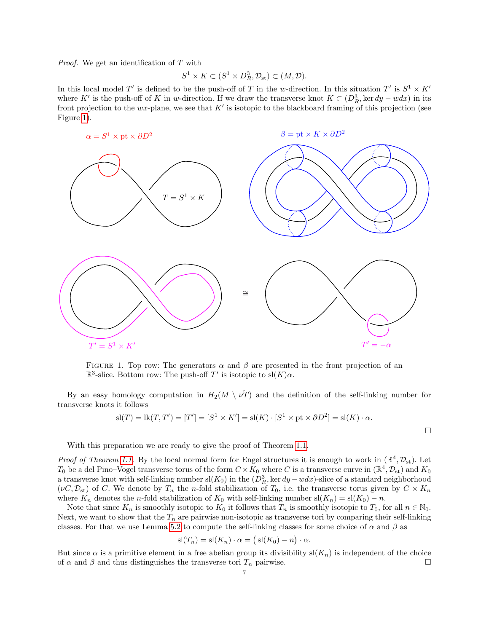Proof. We get an identification of T with

$$
S^1 \times K \subset (S^1 \times D_R^3, \mathcal{D}_{st}) \subset (M, \mathcal{D}).
$$

In this local model T' is defined to be the push-off of T in the w-direction. In this situation T' is  $S^1 \times K'$ where K' is the push-off of K in w-direction. If we draw the transverse knot  $K \subset (D_R^3, \ker dy - wdx)$  in its front projection to the  $wx$ -plane, we see that  $K'$  is isotopic to the blackboard framing of this projection (see Figure [1\)](#page-6-0).



<span id="page-6-0"></span>FIGURE 1. Top row: The generators  $\alpha$  and  $\beta$  are presented in the front projection of an  $\mathbb{R}^3$ -slice. Bottom row: The push-off T' is isotopic to sl(K) $\alpha$ .

By an easy homology computation in  $H_2(M \setminus \nu^2)$  and the definition of the self-linking number for transverse knots it follows

$$
sl(T) = lk(T, T') = [T'] = [S1 \times K'] = sl(K) \cdot [S1 \times pt \times \partial D2] = sl(K) \cdot \alpha.
$$

 $\Box$ 

With this preparation we are ready to give the proof of Theorem [1.1.](#page-0-0)

*Proof of Theorem [1.1.](#page-0-0)* By the local normal form for Engel structures it is enough to work in  $(\mathbb{R}^4, \mathcal{D}_{st})$ . Let  $T_0$  be a del Pino–Vogel transverse torus of the form  $C \times K_0$  where C is a transverse curve in  $(\mathbb{R}^4, \mathcal{D}_{st})$  and  $K_0$ a transverse knot with self-linking number  $sl(K_0)$  in the  $(D_R^3, \ker dy - wdx)$ -slice of a standard neighborhood  $(\nu C, \mathcal{D}_{st})$  of C. We denote by  $T_n$  the n-fold stabilization of  $T_0$ , i.e. the transverse torus given by  $C \times K_n$ where  $K_n$  denotes the n-fold stabilization of  $K_0$  with self-linking number sl $(K_n) = sl(K_0) - n$ .

Note that since  $K_n$  is smoothly isotopic to  $K_0$  it follows that  $T_n$  is smoothly isotopic to  $T_0$ , for all  $n \in \mathbb{N}_0$ . Next, we want to show that the  $T_n$  are pairwise non-isotopic as transverse tori by comparing their self-linking classes. For that we use Lemma [5.2](#page-5-1) to compute the self-linking classes for some choice of  $\alpha$  and  $\beta$  as

$$
sl(T_n) = sl(K_n) \cdot \alpha = (sl(K_0) - n) \cdot \alpha.
$$

But since  $\alpha$  is a primitive element in a free abelian group its divisibility sl $(K_n)$  is independent of the choice of  $\alpha$  and  $\beta$  and thus distinguishes the transverse tori  $T_n$  pairwise.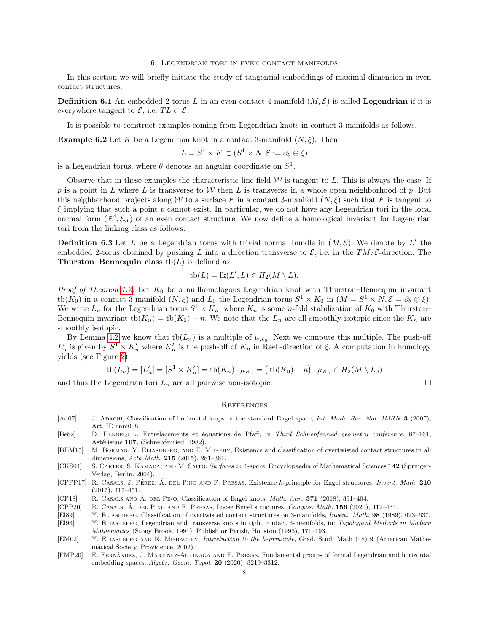#### 6. Legendrian tori in even contact manifolds

<span id="page-7-6"></span>In this section we will briefly initiate the study of tangential embeddings of maximal dimension in even contact structures.

**Definition 6.1** An embedded 2-torus L in an even contact 4-manifold  $(M, \mathcal{E})$  is called Legendrian if it is everywhere tangent to  $\mathcal{E}$ , i.e.  $TL \subset \mathcal{E}$ .

It is possible to construct examples coming from Legendrian knots in contact 3-manifolds as follows.

**Example 6.2** Let K be a Legendrian knot in a contact 3-manifold  $(N, \xi)$ . Then

$$
L = S^1 \times K \subset (S^1 \times N, \mathcal{E} := \partial_{\theta} \oplus \xi)
$$

is a Legendrian torus, where  $\theta$  denotes an angular coordinate on  $S^1$ .

Observe that in these examples the characteristic line field  $W$  is tangent to  $L$ . This is always the case: If p is a point in L where L is transverse to W then L is transverse in a whole open neighborhood of p. But this neighborhood projects along W to a surface F in a contact 3-manifold  $(N,\xi)$  such that F is tangent to  $\xi$  implying that such a point p cannot exist. In particular, we do not have any Legendrian tori in the local normal form  $(\mathbb{R}^4, \mathcal{E}_{st})$  of an even contact structure. We now define a homological invariant for Legendrian tori from the linking class as follows.

**Definition 6.3** Let L be a Legendrian torus with trivial normal bundle in  $(M, \mathcal{E})$ . We denote by L' the embedded 2-torus obtained by pushing L into a direction transverse to  $\mathcal{E}$ , i.e. in the TM/ $\mathcal{E}$ -direction. The Thurston–Bennequin class  $\text{tb}(L)$  is defined as

$$
tb(L) = lk(L', L) \in H_2(M \setminus L).
$$

Proof of Theorem [1.2.](#page-0-1) Let  $K_0$  be a nullhomologous Legendrian knot with Thurston–Bennequin invariant tb( $K_0$ ) in a contact 3-manifold  $(N,\xi)$  and  $L_0$  the Legendrian torus  $S^1 \times K_0$  in  $(M = S^1 \times N, \mathcal{E} = \partial_{\theta} \oplus \xi)$ . We write  $L_n$  for the Legendrian torus  $S^1 \times K_n$ , where  $K_n$  is some n-fold stabilization of  $K_0$  with Thurston-Bennequin invariant tb $(K_n) = \text{tb}(K_0) - n$ . We note that the  $L_n$  are all smoothly isotopic since the  $K_n$  are smoothly isotopic.

By Lemma [4.2](#page-5-2) we know that  $\text{tb}(L_n)$  is a multiple of  $\mu_{K_0}$ . Next we compute this multiple. The push-off  $L'_n$  is given by  $S^1 \times K'_n$  where  $K'_n$  is the push-off of  $K_n$  in Reeb-direction of  $\xi$ . A computation in homology yields (see Figure [2\)](#page-8-13)

$$
tb(L_n) = [L'_n] = [S^1 \times K'_n] = tb(K_n) \cdot \mu_{K_0} = (tb(K_0) - n) \cdot \mu_{K_0} \in H_2(M \setminus L_0)
$$

and thus the Legendrian tori  $L_n$  are all pairwise non-isotopic.  $\Box$ 

#### **REFERENCES**

- <span id="page-7-4"></span>[Ad07] J. ADACHI, Classification of horizontal loops in the standard Engel space, Int. Math. Res. Not. IMRN 3 (2007), Art. ID rnm008.
- <span id="page-7-2"></span>[Be82] D. Bennequin, Entrelacements et ´equations de Pfaff, in Third Schnepfenried geometry conference, 87–161, Astérisque 107, (Schnepfenried, 1982).
- <span id="page-7-9"></span>[BEM15] M. Borman, Y. Eliashberg, and E. Murphy, Existence and classification of overtwisted contact structures in all dimensions, Acta Math. 215 (2015), 281–361.
- <span id="page-7-11"></span>[CKS04] S. CARTER, S. KAMADA, AND M. SAITO, Surfaces in 4-space, Encyclopaedia of Mathematical Sciences 142 (Springer-Verlag, Berlin, 2004).
- <span id="page-7-0"></span>[CPPP17] R. CASALS, J. PÉREZ, Á. DEL PINO AND F. PRESAS, Existence h-principle for Engel structures, *Invent. Math.* 210 (2017), 417–451.
- <span id="page-7-3"></span>[CP18] R. CASALS AND  $\acute{A}$ . DEL PINO, Classification of Engel knots, *Math. Ann.* **371** (2018), 391–404.
- <span id="page-7-1"></span>[CPP20] R. CASALS, A. DEL PINO AND F. PRESAS, Loose Engel structures, Compos. Math. 156 (2020), 412–434.
- <span id="page-7-8"></span>[El89] Y. Eliashberg, Classification of overtwisted contact structures on 3-manifolds, Invent. Math. 98 (1989), 623–637.
- <span id="page-7-10"></span>[El93] Y. ELIASHBERG, Legendrian and transverse knots in tight contact 3-manifolds, in: Topological Methods in Modern Mathematics (Stony Brook, 1991), Publish or Perish, Houston (1993), 171–193.
- <span id="page-7-7"></span>[EM02] Y. ELIASHBERG AND N. MISHACHEV, *Introduction to the h-principle*, Grad. Stud. Math (48) 9 (American Mathematical Society, Providence, 2002).
- <span id="page-7-5"></span>[FMP20] E. FERNÁNDEZ, J. MARTÍNEZ-AGUINAGA AND F. PRESAS, Fundamental groups of formal Legendrian and horizontal embedding spaces, Algebr. Geom. Topol. 20 (2020), 3219–3312.